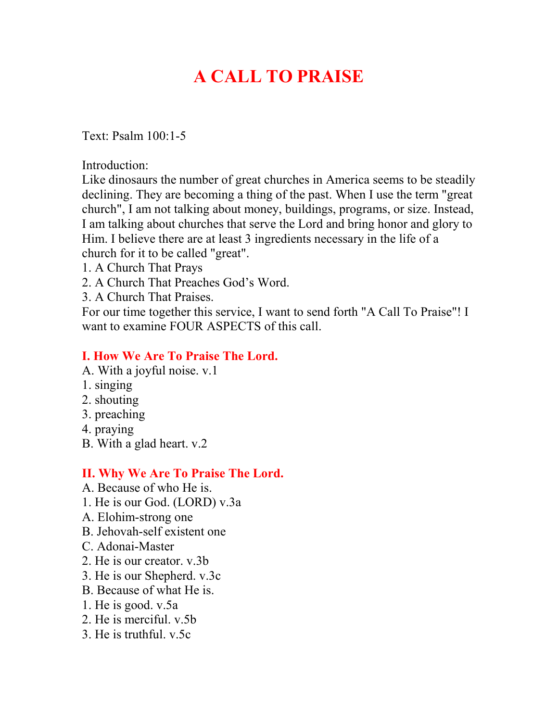# **A CALL TO PRAISE**

Text: Psalm 100:1-5

Introduction:

Like dinosaurs the number of great churches in America seems to be steadily declining. They are becoming a thing of the past. When I use the term "great church", I am not talking about money, buildings, programs, or size. Instead, I am talking about churches that serve the Lord and bring honor and glory to Him. I believe there are at least 3 ingredients necessary in the life of a church for it to be called "great".

- 1. A Church That Prays
- 2. A Church That Preaches God's Word.
- 3. A Church That Praises.

For our time together this service, I want to send forth "A Call To Praise"! I want to examine FOUR ASPECTS of this call.

## **I. How We Are To Praise The Lord.**

- A. With a joyful noise. v.1
- 1. singing
- 2. shouting
- 3. preaching
- 4. praying
- B. With a glad heart. v.2

### **II. Why We Are To Praise The Lord.**

- A. Because of who He is.
- 1. He is our God. (LORD) v.3a
- A. Elohim-strong one
- B. Jehovah-self existent one
- C. Adonai-Master
- 2. He is our creator. v.3b
- 3. He is our Shepherd. v.3c
- B. Because of what He is.
- 1. He is good. v.5a
- 2. He is merciful. v.5b
- 3. He is truthful. v.5c